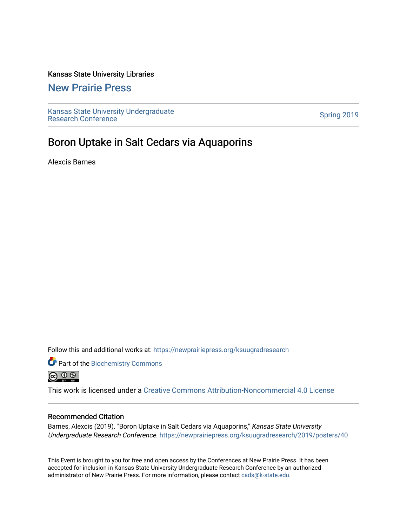### Kansas State University Libraries

### [New Prairie Press](https://newprairiepress.org/)

[Kansas State University Undergraduate](https://newprairiepress.org/ksuugradresearch)  Ransas State University Undergraduate<br>[Research Conference](https://newprairiepress.org/ksuugradresearch)

### Boron Uptake in Salt Cedars via Aquaporins

Alexcis Barnes

Follow this and additional works at: [https://newprairiepress.org/ksuugradresearch](https://newprairiepress.org/ksuugradresearch?utm_source=newprairiepress.org%2Fksuugradresearch%2F2019%2Fposters%2F40&utm_medium=PDF&utm_campaign=PDFCoverPages) 

Part of the [Biochemistry Commons](http://network.bepress.com/hgg/discipline/2?utm_source=newprairiepress.org%2Fksuugradresearch%2F2019%2Fposters%2F40&utm_medium=PDF&utm_campaign=PDFCoverPages)  @ 0 ®

This work is licensed under a [Creative Commons Attribution-Noncommercial 4.0 License](https://creativecommons.org/licenses/by-nc/4.0/)

### Recommended Citation

Barnes, Alexcis (2019). "Boron Uptake in Salt Cedars via Aquaporins," Kansas State University Undergraduate Research Conference.<https://newprairiepress.org/ksuugradresearch/2019/posters/40>

This Event is brought to you for free and open access by the Conferences at New Prairie Press. It has been accepted for inclusion in Kansas State University Undergraduate Research Conference by an authorized administrator of New Prairie Press. For more information, please contact [cads@k-state.edu](mailto:cads@k-state.edu).